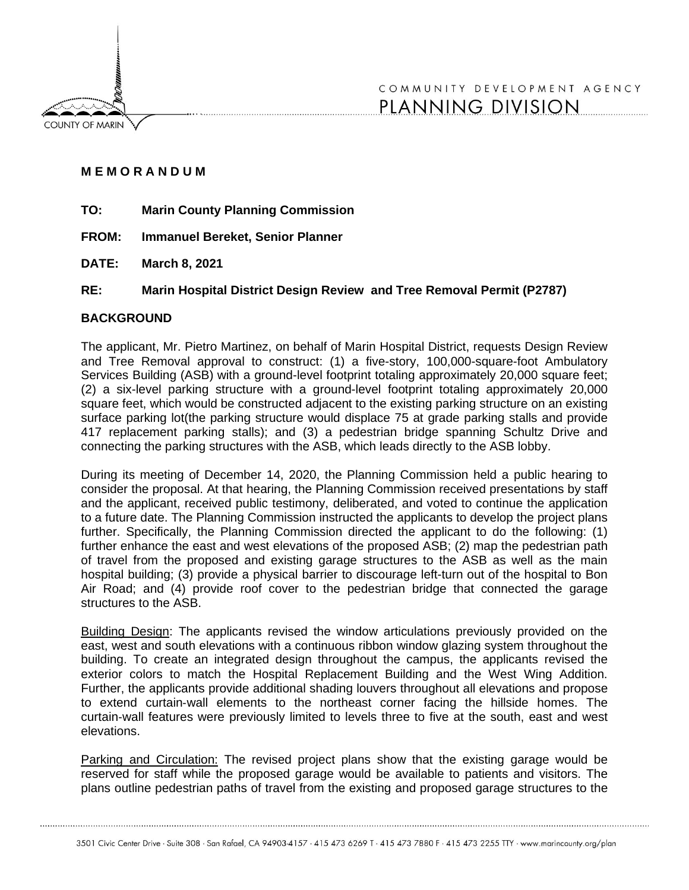**COUNTY OF MARIN** 

# COMMUNITY DEVELOPMENT AGENCY PLANNING DIVISION

# **M E M O R A N D U M**

- **TO: Marin County Planning Commission**
- **FROM: Immanuel Bereket, Senior Planner**
- **DATE: March 8, 2021**
- **RE: Marin Hospital District Design Review and Tree Removal Permit (P2787)**

# **BACKGROUND**

The applicant, Mr. Pietro Martinez, on behalf of Marin Hospital District, requests Design Review and Tree Removal approval to construct: (1) a five-story, 100,000-square-foot Ambulatory Services Building (ASB) with a ground-level footprint totaling approximately 20,000 square feet; (2) a six-level parking structure with a ground-level footprint totaling approximately 20,000 square feet, which would be constructed adjacent to the existing parking structure on an existing surface parking lot(the parking structure would displace 75 at grade parking stalls and provide 417 replacement parking stalls); and (3) a pedestrian bridge spanning Schultz Drive and connecting the parking structures with the ASB, which leads directly to the ASB lobby.

During its meeting of December 14, 2020, the Planning Commission held a public hearing to consider the proposal. At that hearing, the Planning Commission received presentations by staff and the applicant, received public testimony, deliberated, and voted to continue the application to a future date. The Planning Commission instructed the applicants to develop the project plans further. Specifically, the Planning Commission directed the applicant to do the following: (1) further enhance the east and west elevations of the proposed ASB; (2) map the pedestrian path of travel from the proposed and existing garage structures to the ASB as well as the main hospital building; (3) provide a physical barrier to discourage left-turn out of the hospital to Bon Air Road; and (4) provide roof cover to the pedestrian bridge that connected the garage structures to the ASB.

Building Design: The applicants revised the window articulations previously provided on the east, west and south elevations with a continuous ribbon window glazing system throughout the building. To create an integrated design throughout the campus, the applicants revised the exterior colors to match the Hospital Replacement Building and the West Wing Addition. Further, the applicants provide additional shading louvers throughout all elevations and propose to extend curtain‐wall elements to the northeast corner facing the hillside homes. The curtain‐wall features were previously limited to levels three to five at the south, east and west elevations.

Parking and Circulation: The revised project plans show that the existing garage would be reserved for staff while the proposed garage would be available to patients and visitors. The plans outline pedestrian paths of travel from the existing and proposed garage structures to the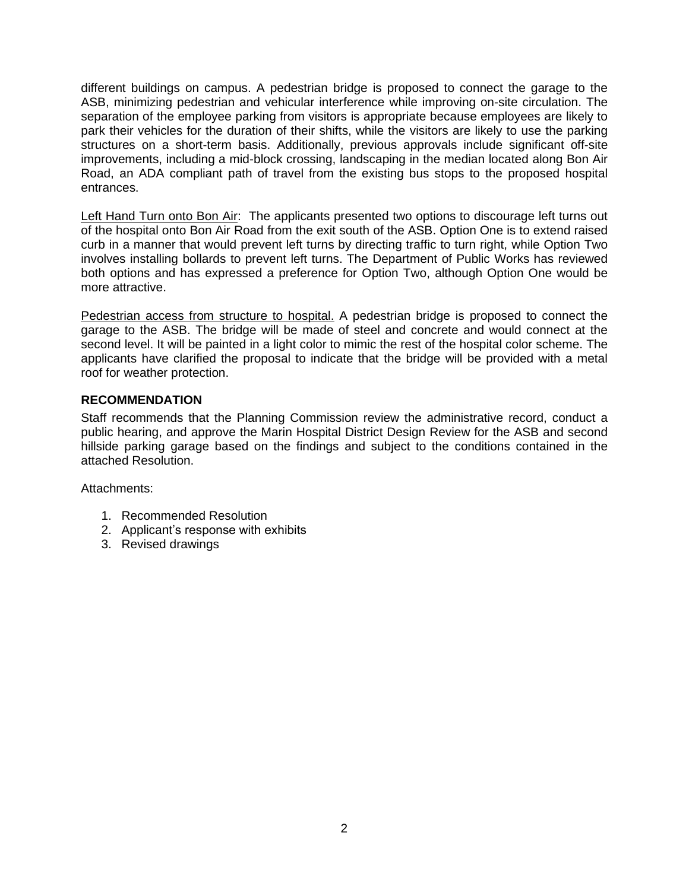different buildings on campus. A pedestrian bridge is proposed to connect the garage to the ASB, minimizing pedestrian and vehicular interference while improving on-site circulation. The separation of the employee parking from visitors is appropriate because employees are likely to park their vehicles for the duration of their shifts, while the visitors are likely to use the parking structures on a short-term basis. Additionally, previous approvals include significant off-site improvements, including a mid-block crossing, landscaping in the median located along Bon Air Road, an ADA compliant path of travel from the existing bus stops to the proposed hospital entrances.

Left Hand Turn onto Bon Air: The applicants presented two options to discourage left turns out of the hospital onto Bon Air Road from the exit south of the ASB. Option One is to extend raised curb in a manner that would prevent left turns by directing traffic to turn right, while Option Two involves installing bollards to prevent left turns. The Department of Public Works has reviewed both options and has expressed a preference for Option Two, although Option One would be more attractive.

Pedestrian access from structure to hospital. A pedestrian bridge is proposed to connect the garage to the ASB. The bridge will be made of steel and concrete and would connect at the second level. It will be painted in a light color to mimic the rest of the hospital color scheme. The applicants have clarified the proposal to indicate that the bridge will be provided with a metal roof for weather protection.

# **RECOMMENDATION**

Staff recommends that the Planning Commission review the administrative record, conduct a public hearing, and approve the Marin Hospital District Design Review for the ASB and second hillside parking garage based on the findings and subject to the conditions contained in the attached Resolution.

Attachments:

- 1. Recommended Resolution
- 2. Applicant's response with exhibits
- 3. Revised drawings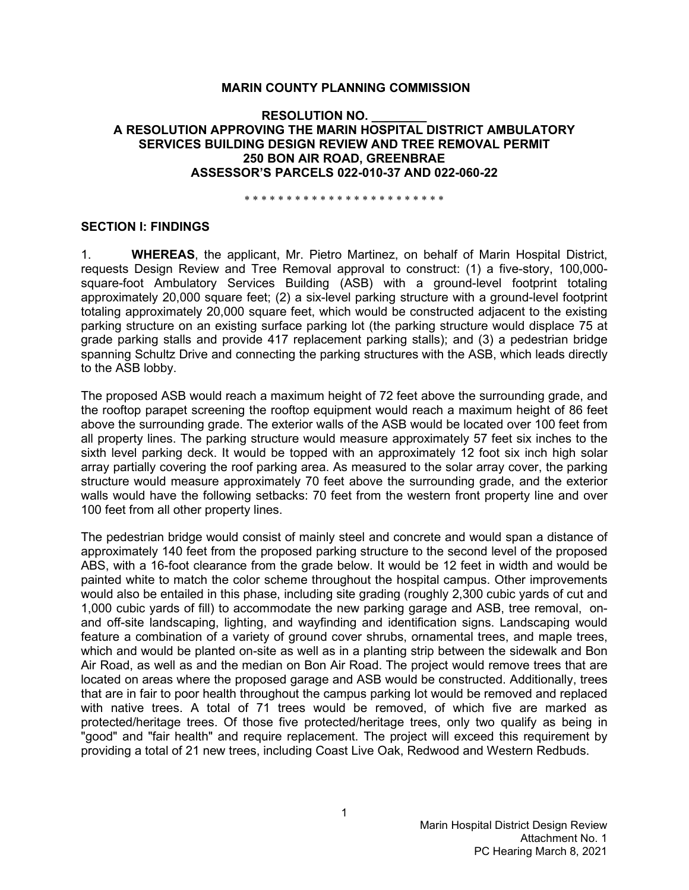#### **MARIN COUNTY PLANNING COMMISSION**

#### **RESOLUTION NO. \_\_\_\_\_\_\_\_ A RESOLUTION APPROVING THE MARIN HOSPITAL DISTRICT AMBULATORY SERVICES BUILDING DESIGN REVIEW AND TREE REMOVAL PERMIT 250 BON AIR ROAD, GREENBRAE ASSESSOR'S PARCELS 022-010-37 AND 022-060-22**

\* \* \* \* \* \* \* \* \* \* \* \* \* \* \* \* \* \* \* \* \* \* \* \*

#### **SECTION I: FINDINGS**

1. **WHEREAS**, the applicant, Mr. Pietro Martinez, on behalf of Marin Hospital District, requests Design Review and Tree Removal approval to construct: (1) a five-story, 100,000 square-foot Ambulatory Services Building (ASB) with a ground-level footprint totaling approximately 20,000 square feet; (2) a six-level parking structure with a ground-level footprint totaling approximately 20,000 square feet, which would be constructed adjacent to the existing parking structure on an existing surface parking lot (the parking structure would displace 75 at grade parking stalls and provide 417 replacement parking stalls); and (3) a pedestrian bridge spanning Schultz Drive and connecting the parking structures with the ASB, which leads directly to the ASB lobby.

The proposed ASB would reach a maximum height of 72 feet above the surrounding grade, and the rooftop parapet screening the rooftop equipment would reach a maximum height of 86 feet above the surrounding grade. The exterior walls of the ASB would be located over 100 feet from all property lines. The parking structure would measure approximately 57 feet six inches to the sixth level parking deck. It would be topped with an approximately 12 foot six inch high solar array partially covering the roof parking area. As measured to the solar array cover, the parking structure would measure approximately 70 feet above the surrounding grade, and the exterior walls would have the following setbacks: 70 feet from the western front property line and over 100 feet from all other property lines.

The pedestrian bridge would consist of mainly steel and concrete and would span a distance of approximately 140 feet from the proposed parking structure to the second level of the proposed ABS, with a 16-foot clearance from the grade below. It would be 12 feet in width and would be painted white to match the color scheme throughout the hospital campus. Other improvements would also be entailed in this phase, including site grading (roughly 2,300 cubic yards of cut and 1,000 cubic yards of fill) to accommodate the new parking garage and ASB, tree removal, onand off-site landscaping, lighting, and wayfinding and identification signs. Landscaping would feature a combination of a variety of ground cover shrubs, ornamental trees, and maple trees, which and would be planted on-site as well as in a planting strip between the sidewalk and Bon Air Road, as well as and the median on Bon Air Road. The project would remove trees that are located on areas where the proposed garage and ASB would be constructed. Additionally, trees that are in fair to poor health throughout the campus parking lot would be removed and replaced with native trees. A total of 71 trees would be removed, of which five are marked as protected/heritage trees. Of those five protected/heritage trees, only two qualify as being in "good" and "fair health" and require replacement. The project will exceed this requirement by providing a total of 21 new trees, including Coast Live Oak, Redwood and Western Redbuds.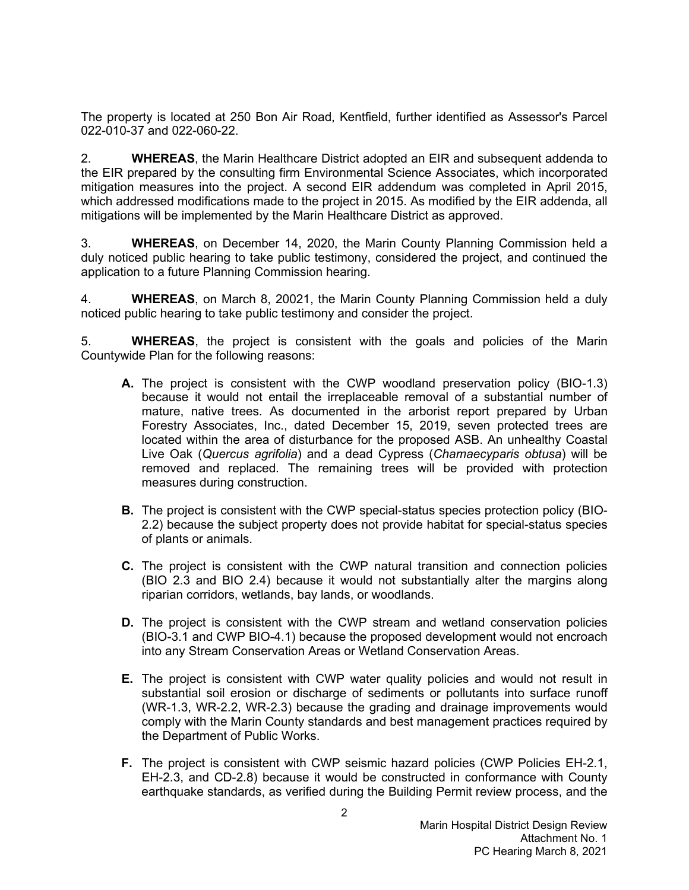The property is located at 250 Bon Air Road, Kentfield, further identified as Assessor's Parcel 022-010-37 and 022-060-22.

2. **WHEREAS**, the Marin Healthcare District adopted an EIR and subsequent addenda to the EIR prepared by the consulting firm Environmental Science Associates, which incorporated mitigation measures into the project. A second EIR addendum was completed in April 2015, which addressed modifications made to the project in 2015. As modified by the EIR addenda, all mitigations will be implemented by the Marin Healthcare District as approved.

3. **WHEREAS**, on December 14, 2020, the Marin County Planning Commission held a duly noticed public hearing to take public testimony, considered the project, and continued the application to a future Planning Commission hearing.

4. **WHEREAS**, on March 8, 20021, the Marin County Planning Commission held a duly noticed public hearing to take public testimony and consider the project.

5. **WHEREAS**, the project is consistent with the goals and policies of the Marin Countywide Plan for the following reasons:

- **A.** The project is consistent with the CWP woodland preservation policy (BIO-1.3) because it would not entail the irreplaceable removal of a substantial number of mature, native trees. As documented in the arborist report prepared by Urban Forestry Associates, Inc., dated December 15, 2019, seven protected trees are located within the area of disturbance for the proposed ASB. An unhealthy Coastal Live Oak (*Quercus agrifolia*) and a dead Cypress (*Chamaecyparis obtusa*) will be removed and replaced. The remaining trees will be provided with protection measures during construction.
- **B.** The project is consistent with the CWP special-status species protection policy (BIO-2.2) because the subject property does not provide habitat for special-status species of plants or animals.
- **C.** The project is consistent with the CWP natural transition and connection policies (BIO 2.3 and BIO 2.4) because it would not substantially alter the margins along riparian corridors, wetlands, bay lands, or woodlands.
- **D.** The project is consistent with the CWP stream and wetland conservation policies (BIO-3.1 and CWP BIO-4.1) because the proposed development would not encroach into any Stream Conservation Areas or Wetland Conservation Areas.
- **E.** The project is consistent with CWP water quality policies and would not result in substantial soil erosion or discharge of sediments or pollutants into surface runoff (WR-1.3, WR-2.2, WR-2.3) because the grading and drainage improvements would comply with the Marin County standards and best management practices required by the Department of Public Works.
- **F.** The project is consistent with CWP seismic hazard policies (CWP Policies EH-2.1, EH-2.3, and CD-2.8) because it would be constructed in conformance with County earthquake standards, as verified during the Building Permit review process, and the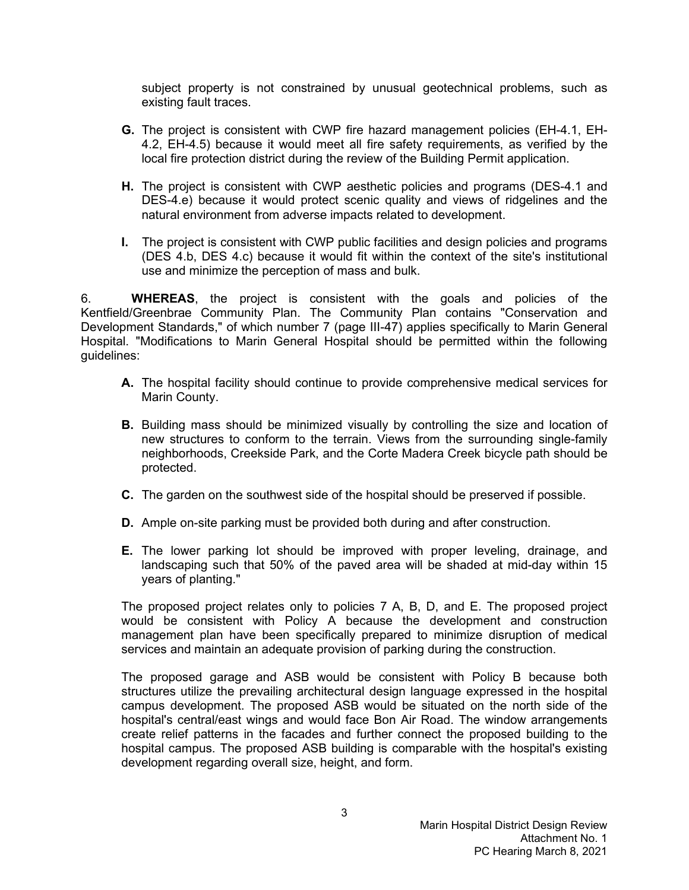subject property is not constrained by unusual geotechnical problems, such as existing fault traces.

- **G.** The project is consistent with CWP fire hazard management policies (EH-4.1, EH-4.2, EH-4.5) because it would meet all fire safety requirements, as verified by the local fire protection district during the review of the Building Permit application.
- **H.** The project is consistent with CWP aesthetic policies and programs (DES-4.1 and DES-4.e) because it would protect scenic quality and views of ridgelines and the natural environment from adverse impacts related to development.
- **I.** The project is consistent with CWP public facilities and design policies and programs (DES 4.b, DES 4.c) because it would fit within the context of the site's institutional use and minimize the perception of mass and bulk.

6. **WHEREAS**, the project is consistent with the goals and policies of the Kentfield/Greenbrae Community Plan. The Community Plan contains "Conservation and Development Standards," of which number 7 (page III-47) applies specifically to Marin General Hospital. "Modifications to Marin General Hospital should be permitted within the following guidelines:

- **A.** The hospital facility should continue to provide comprehensive medical services for Marin County.
- **B.** Building mass should be minimized visually by controlling the size and location of new structures to conform to the terrain. Views from the surrounding single-family neighborhoods, Creekside Park, and the Corte Madera Creek bicycle path should be protected.
- **C.** The garden on the southwest side of the hospital should be preserved if possible.
- **D.** Ample on-site parking must be provided both during and after construction.
- **E.** The lower parking lot should be improved with proper leveling, drainage, and landscaping such that 50% of the paved area will be shaded at mid-day within 15 years of planting."

The proposed project relates only to policies 7 A, B, D, and E. The proposed project would be consistent with Policy A because the development and construction management plan have been specifically prepared to minimize disruption of medical services and maintain an adequate provision of parking during the construction.

The proposed garage and ASB would be consistent with Policy B because both structures utilize the prevailing architectural design language expressed in the hospital campus development. The proposed ASB would be situated on the north side of the hospital's central/east wings and would face Bon Air Road. The window arrangements create relief patterns in the facades and further connect the proposed building to the hospital campus. The proposed ASB building is comparable with the hospital's existing development regarding overall size, height, and form.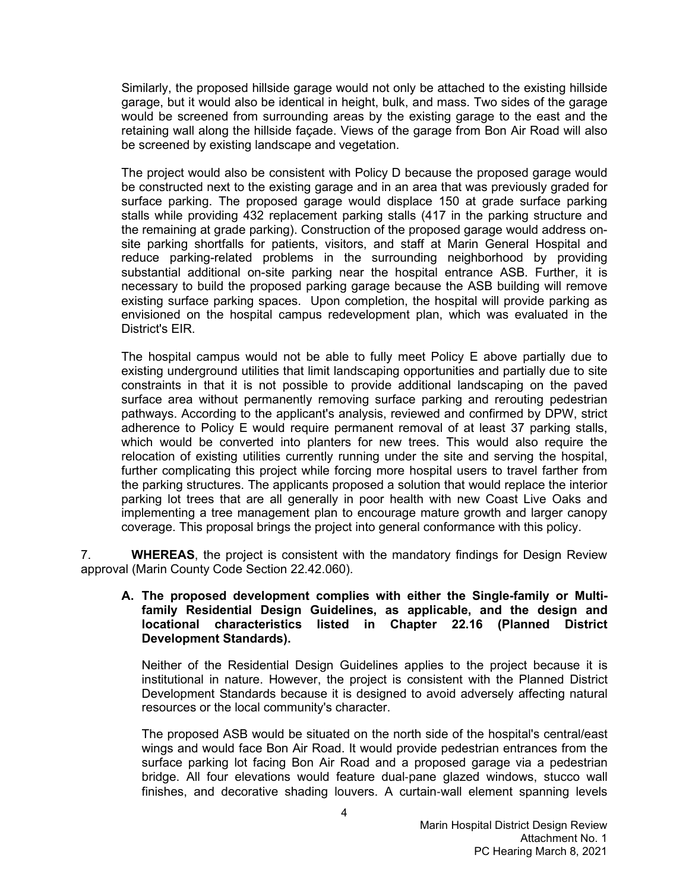Similarly, the proposed hillside garage would not only be attached to the existing hillside garage, but it would also be identical in height, bulk, and mass. Two sides of the garage would be screened from surrounding areas by the existing garage to the east and the retaining wall along the hillside façade. Views of the garage from Bon Air Road will also be screened by existing landscape and vegetation.

The project would also be consistent with Policy D because the proposed garage would be constructed next to the existing garage and in an area that was previously graded for surface parking. The proposed garage would displace 150 at grade surface parking stalls while providing 432 replacement parking stalls (417 in the parking structure and the remaining at grade parking). Construction of the proposed garage would address onsite parking shortfalls for patients, visitors, and staff at Marin General Hospital and reduce parking-related problems in the surrounding neighborhood by providing substantial additional on-site parking near the hospital entrance ASB. Further, it is necessary to build the proposed parking garage because the ASB building will remove existing surface parking spaces. Upon completion, the hospital will provide parking as envisioned on the hospital campus redevelopment plan, which was evaluated in the District's EIR.

The hospital campus would not be able to fully meet Policy E above partially due to existing underground utilities that limit landscaping opportunities and partially due to site constraints in that it is not possible to provide additional landscaping on the paved surface area without permanently removing surface parking and rerouting pedestrian pathways. According to the applicant's analysis, reviewed and confirmed by DPW, strict adherence to Policy E would require permanent removal of at least 37 parking stalls, which would be converted into planters for new trees. This would also require the relocation of existing utilities currently running under the site and serving the hospital, further complicating this project while forcing more hospital users to travel farther from the parking structures. The applicants proposed a solution that would replace the interior parking lot trees that are all generally in poor health with new Coast Live Oaks and implementing a tree management plan to encourage mature growth and larger canopy coverage. This proposal brings the project into general conformance with this policy.

7. **WHEREAS**, the project is consistent with the mandatory findings for Design Review approval (Marin County Code Section 22.42.060).

### **A. The proposed development complies with either the Single-family or Multifamily Residential Design Guidelines, as applicable, and the design and locational characteristics listed in Chapter 22.16 (Planned District Development Standards).**

Neither of the Residential Design Guidelines applies to the project because it is institutional in nature. However, the project is consistent with the Planned District Development Standards because it is designed to avoid adversely affecting natural resources or the local community's character.

The proposed ASB would be situated on the north side of the hospital's central/east wings and would face Bon Air Road. It would provide pedestrian entrances from the surface parking lot facing Bon Air Road and a proposed garage via a pedestrian bridge. All four elevations would feature dual-pane glazed windows, stucco wall finishes, and decorative shading louvers. A curtain-wall element spanning levels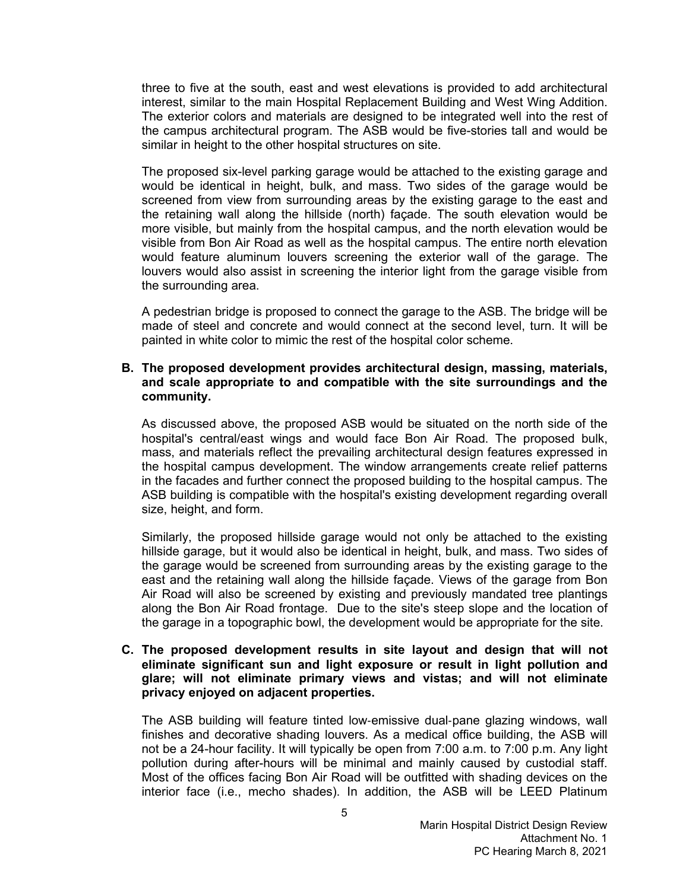three to five at the south, east and west elevations is provided to add architectural interest, similar to the main Hospital Replacement Building and West Wing Addition. The exterior colors and materials are designed to be integrated well into the rest of the campus architectural program. The ASB would be five-stories tall and would be similar in height to the other hospital structures on site.

The proposed six-level parking garage would be attached to the existing garage and would be identical in height, bulk, and mass. Two sides of the garage would be screened from view from surrounding areas by the existing garage to the east and the retaining wall along the hillside (north) façade. The south elevation would be more visible, but mainly from the hospital campus, and the north elevation would be visible from Bon Air Road as well as the hospital campus. The entire north elevation would feature aluminum louvers screening the exterior wall of the garage. The louvers would also assist in screening the interior light from the garage visible from the surrounding area.

A pedestrian bridge is proposed to connect the garage to the ASB. The bridge will be made of steel and concrete and would connect at the second level, turn. It will be painted in white color to mimic the rest of the hospital color scheme.

#### **B. The proposed development provides architectural design, massing, materials, and scale appropriate to and compatible with the site surroundings and the community.**

As discussed above, the proposed ASB would be situated on the north side of the hospital's central/east wings and would face Bon Air Road. The proposed bulk, mass, and materials reflect the prevailing architectural design features expressed in the hospital campus development. The window arrangements create relief patterns in the facades and further connect the proposed building to the hospital campus. The ASB building is compatible with the hospital's existing development regarding overall size, height, and form.

Similarly, the proposed hillside garage would not only be attached to the existing hillside garage, but it would also be identical in height, bulk, and mass. Two sides of the garage would be screened from surrounding areas by the existing garage to the east and the retaining wall along the hillside façade. Views of the garage from Bon Air Road will also be screened by existing and previously mandated tree plantings along the Bon Air Road frontage. Due to the site's steep slope and the location of the garage in a topographic bowl, the development would be appropriate for the site.

#### **C. The proposed development results in site layout and design that will not eliminate significant sun and light exposure or result in light pollution and glare; will not eliminate primary views and vistas; and will not eliminate privacy enjoyed on adjacent properties.**

The ASB building will feature tinted low-emissive dual-pane glazing windows, wall finishes and decorative shading louvers. As a medical office building, the ASB will not be a 24-hour facility. It will typically be open from 7:00 a.m. to 7:00 p.m. Any light pollution during after-hours will be minimal and mainly caused by custodial staff. Most of the offices facing Bon Air Road will be outfitted with shading devices on the interior face (i.e., mecho shades). In addition, the ASB will be LEED Platinum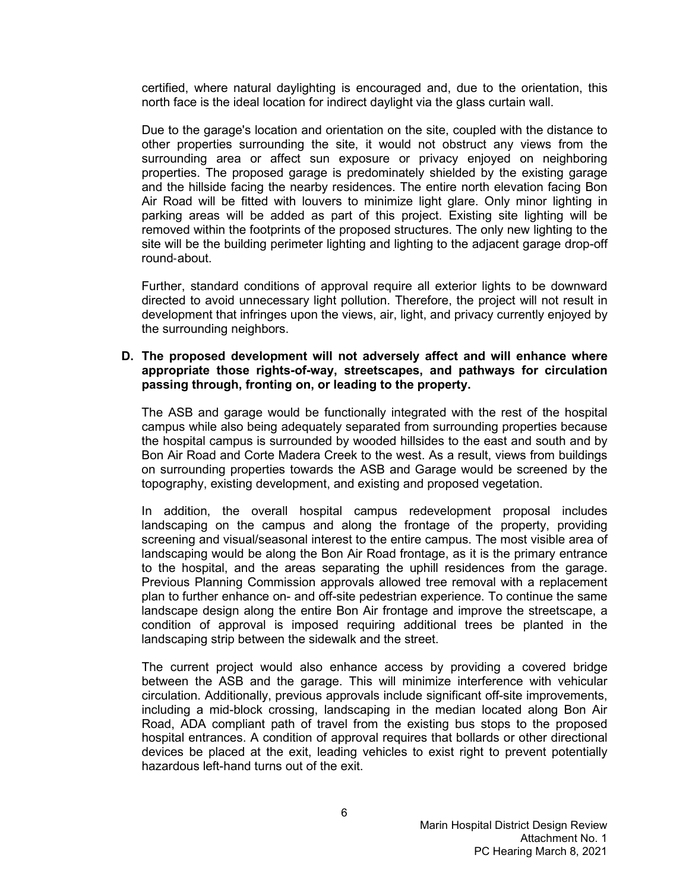certified, where natural daylighting is encouraged and, due to the orientation, this north face is the ideal location for indirect daylight via the glass curtain wall.

Due to the garage's location and orientation on the site, coupled with the distance to other properties surrounding the site, it would not obstruct any views from the surrounding area or affect sun exposure or privacy enjoyed on neighboring properties. The proposed garage is predominately shielded by the existing garage and the hillside facing the nearby residences. The entire north elevation facing Bon Air Road will be fitted with louvers to minimize light glare. Only minor lighting in parking areas will be added as part of this project. Existing site lighting will be removed within the footprints of the proposed structures. The only new lighting to the site will be the building perimeter lighting and lighting to the adjacent garage drop-off round-about.

Further, standard conditions of approval require all exterior lights to be downward directed to avoid unnecessary light pollution. Therefore, the project will not result in development that infringes upon the views, air, light, and privacy currently enjoyed by the surrounding neighbors.

#### **D. The proposed development will not adversely affect and will enhance where appropriate those rights-of-way, streetscapes, and pathways for circulation passing through, fronting on, or leading to the property.**

The ASB and garage would be functionally integrated with the rest of the hospital campus while also being adequately separated from surrounding properties because the hospital campus is surrounded by wooded hillsides to the east and south and by Bon Air Road and Corte Madera Creek to the west. As a result, views from buildings on surrounding properties towards the ASB and Garage would be screened by the topography, existing development, and existing and proposed vegetation.

In addition, the overall hospital campus redevelopment proposal includes landscaping on the campus and along the frontage of the property, providing screening and visual/seasonal interest to the entire campus. The most visible area of landscaping would be along the Bon Air Road frontage, as it is the primary entrance to the hospital, and the areas separating the uphill residences from the garage. Previous Planning Commission approvals allowed tree removal with a replacement plan to further enhance on- and off-site pedestrian experience. To continue the same landscape design along the entire Bon Air frontage and improve the streetscape, a condition of approval is imposed requiring additional trees be planted in the landscaping strip between the sidewalk and the street.

The current project would also enhance access by providing a covered bridge between the ASB and the garage. This will minimize interference with vehicular circulation. Additionally, previous approvals include significant off-site improvements, including a mid-block crossing, landscaping in the median located along Bon Air Road, ADA compliant path of travel from the existing bus stops to the proposed hospital entrances. A condition of approval requires that bollards or other directional devices be placed at the exit, leading vehicles to exist right to prevent potentially hazardous left-hand turns out of the exit.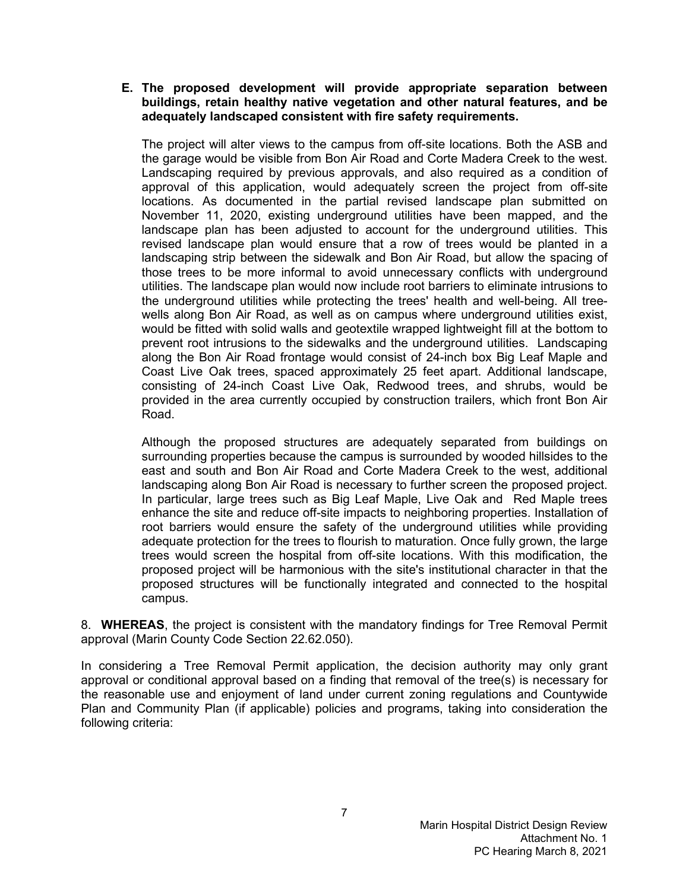# **E. The proposed development will provide appropriate separation between buildings, retain healthy native vegetation and other natural features, and be adequately landscaped consistent with fire safety requirements.**

The project will alter views to the campus from off-site locations. Both the ASB and the garage would be visible from Bon Air Road and Corte Madera Creek to the west. Landscaping required by previous approvals, and also required as a condition of approval of this application, would adequately screen the project from off-site locations. As documented in the partial revised landscape plan submitted on November 11, 2020, existing underground utilities have been mapped, and the landscape plan has been adjusted to account for the underground utilities. This revised landscape plan would ensure that a row of trees would be planted in a landscaping strip between the sidewalk and Bon Air Road, but allow the spacing of those trees to be more informal to avoid unnecessary conflicts with underground utilities. The landscape plan would now include root barriers to eliminate intrusions to the underground utilities while protecting the trees' health and well-being. All treewells along Bon Air Road, as well as on campus where underground utilities exist, would be fitted with solid walls and geotextile wrapped lightweight fill at the bottom to prevent root intrusions to the sidewalks and the underground utilities. Landscaping along the Bon Air Road frontage would consist of 24-inch box Big Leaf Maple and Coast Live Oak trees, spaced approximately 25 feet apart. Additional landscape, consisting of 24-inch Coast Live Oak, Redwood trees, and shrubs, would be provided in the area currently occupied by construction trailers, which front Bon Air Road.

Although the proposed structures are adequately separated from buildings on surrounding properties because the campus is surrounded by wooded hillsides to the east and south and Bon Air Road and Corte Madera Creek to the west, additional landscaping along Bon Air Road is necessary to further screen the proposed project. In particular, large trees such as Big Leaf Maple, Live Oak and Red Maple trees enhance the site and reduce off-site impacts to neighboring properties. Installation of root barriers would ensure the safety of the underground utilities while providing adequate protection for the trees to flourish to maturation. Once fully grown, the large trees would screen the hospital from off-site locations. With this modification, the proposed project will be harmonious with the site's institutional character in that the proposed structures will be functionally integrated and connected to the hospital campus.

8. **WHEREAS**, the project is consistent with the mandatory findings for Tree Removal Permit approval (Marin County Code Section 22.62.050).

In considering a Tree Removal Permit application, the decision authority may only grant approval or conditional approval based on a finding that removal of the tree(s) is necessary for the reasonable use and enjoyment of land under current zoning regulations and Countywide Plan and Community Plan (if applicable) policies and programs, taking into consideration the following criteria: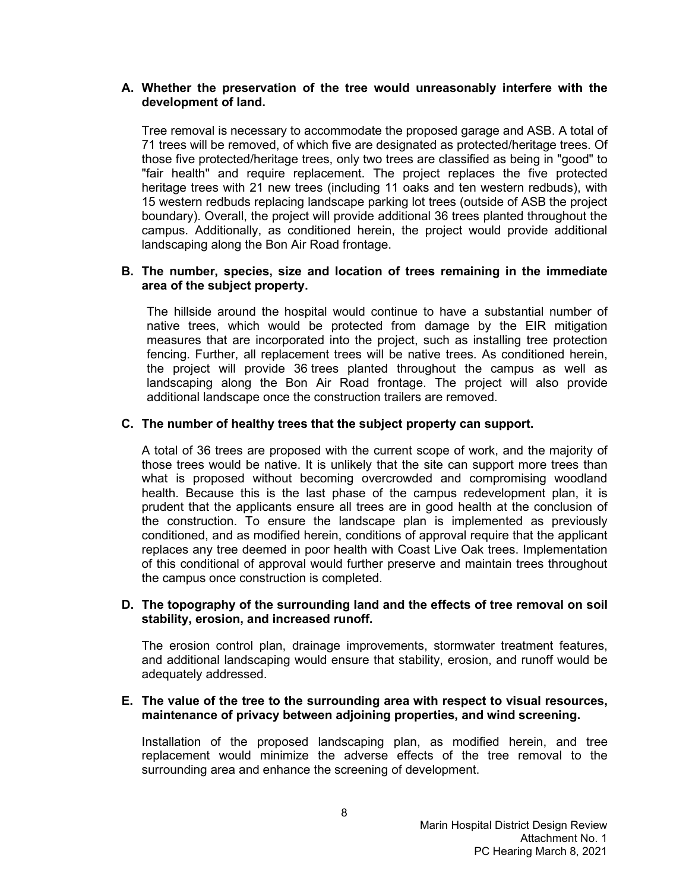### **A. Whether the preservation of the tree would unreasonably interfere with the development of land.**

Tree removal is necessary to accommodate the proposed garage and ASB. A total of 71 trees will be removed, of which five are designated as protected/heritage trees. Of those five protected/heritage trees, only two trees are classified as being in "good" to "fair health" and require replacement. The project replaces the five protected heritage trees with 21 new trees (including 11 oaks and ten western redbuds), with 15 western redbuds replacing landscape parking lot trees (outside of ASB the project boundary). Overall, the project will provide additional 36 trees planted throughout the campus. Additionally, as conditioned herein, the project would provide additional landscaping along the Bon Air Road frontage.

#### **B. The number, species, size and location of trees remaining in the immediate area of the subject property.**

The hillside around the hospital would continue to have a substantial number of native trees, which would be protected from damage by the EIR mitigation measures that are incorporated into the project, such as installing tree protection fencing. Further, all replacement trees will be native trees. As conditioned herein, the project will provide 36 trees planted throughout the campus as well as landscaping along the Bon Air Road frontage. The project will also provide additional landscape once the construction trailers are removed.

### **C. The number of healthy trees that the subject property can support.**

A total of 36 trees are proposed with the current scope of work, and the majority of those trees would be native. It is unlikely that the site can support more trees than what is proposed without becoming overcrowded and compromising woodland health. Because this is the last phase of the campus redevelopment plan, it is prudent that the applicants ensure all trees are in good health at the conclusion of the construction. To ensure the landscape plan is implemented as previously conditioned, and as modified herein, conditions of approval require that the applicant replaces any tree deemed in poor health with Coast Live Oak trees. Implementation of this conditional of approval would further preserve and maintain trees throughout the campus once construction is completed.

### **D. The topography of the surrounding land and the effects of tree removal on soil stability, erosion, and increased runoff.**

The erosion control plan, drainage improvements, stormwater treatment features, and additional landscaping would ensure that stability, erosion, and runoff would be adequately addressed.

### **E. The value of the tree to the surrounding area with respect to visual resources, maintenance of privacy between adjoining properties, and wind screening.**

Installation of the proposed landscaping plan, as modified herein, and tree replacement would minimize the adverse effects of the tree removal to the surrounding area and enhance the screening of development.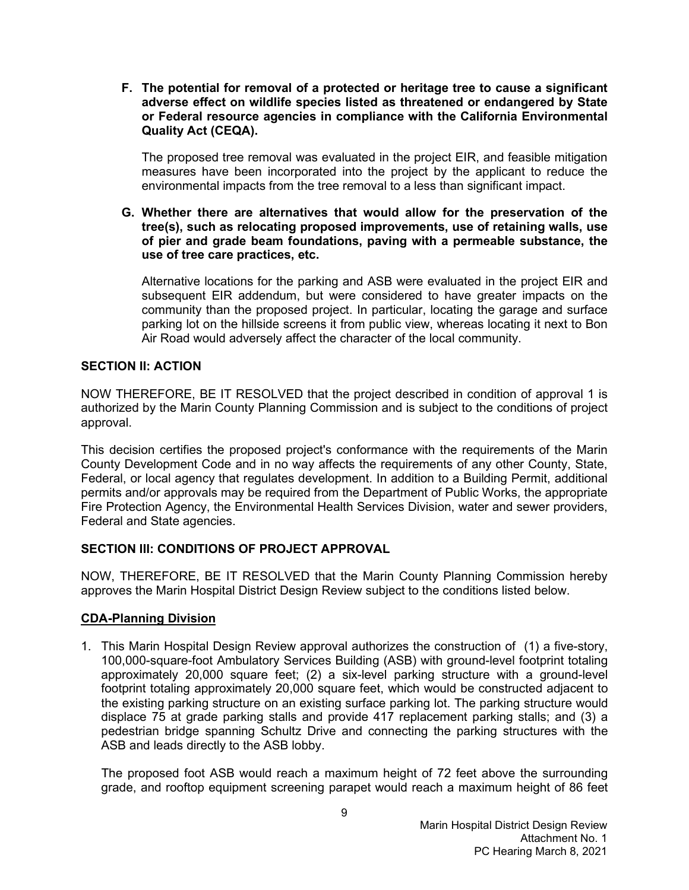**F. The potential for removal of a protected or heritage tree to cause a significant adverse effect on wildlife species listed as threatened or endangered by State or Federal resource agencies in compliance with the California Environmental Quality Act (CEQA).**

The proposed tree removal was evaluated in the project EIR, and feasible mitigation measures have been incorporated into the project by the applicant to reduce the environmental impacts from the tree removal to a less than significant impact.

**G. Whether there are alternatives that would allow for the preservation of the tree(s), such as relocating proposed improvements, use of retaining walls, use of pier and grade beam foundations, paving with a permeable substance, the use of tree care practices, etc.**

Alternative locations for the parking and ASB were evaluated in the project EIR and subsequent EIR addendum, but were considered to have greater impacts on the community than the proposed project. In particular, locating the garage and surface parking lot on the hillside screens it from public view, whereas locating it next to Bon Air Road would adversely affect the character of the local community.

# **SECTION II: ACTION**

NOW THEREFORE, BE IT RESOLVED that the project described in condition of approval 1 is authorized by the Marin County Planning Commission and is subject to the conditions of project approval.

This decision certifies the proposed project's conformance with the requirements of the Marin County Development Code and in no way affects the requirements of any other County, State, Federal, or local agency that regulates development. In addition to a Building Permit, additional permits and/or approvals may be required from the Department of Public Works, the appropriate Fire Protection Agency, the Environmental Health Services Division, water and sewer providers, Federal and State agencies.

# **SECTION III: CONDITIONS OF PROJECT APPROVAL**

NOW, THEREFORE, BE IT RESOLVED that the Marin County Planning Commission hereby approves the Marin Hospital District Design Review subject to the conditions listed below.

# **CDA-Planning Division**

1. This Marin Hospital Design Review approval authorizes the construction of (1) a five-story, 100,000-square-foot Ambulatory Services Building (ASB) with ground-level footprint totaling approximately 20,000 square feet; (2) a six-level parking structure with a ground-level footprint totaling approximately 20,000 square feet, which would be constructed adjacent to the existing parking structure on an existing surface parking lot. The parking structure would displace 75 at grade parking stalls and provide 417 replacement parking stalls; and (3) a pedestrian bridge spanning Schultz Drive and connecting the parking structures with the ASB and leads directly to the ASB lobby.

The proposed foot ASB would reach a maximum height of 72 feet above the surrounding grade, and rooftop equipment screening parapet would reach a maximum height of 86 feet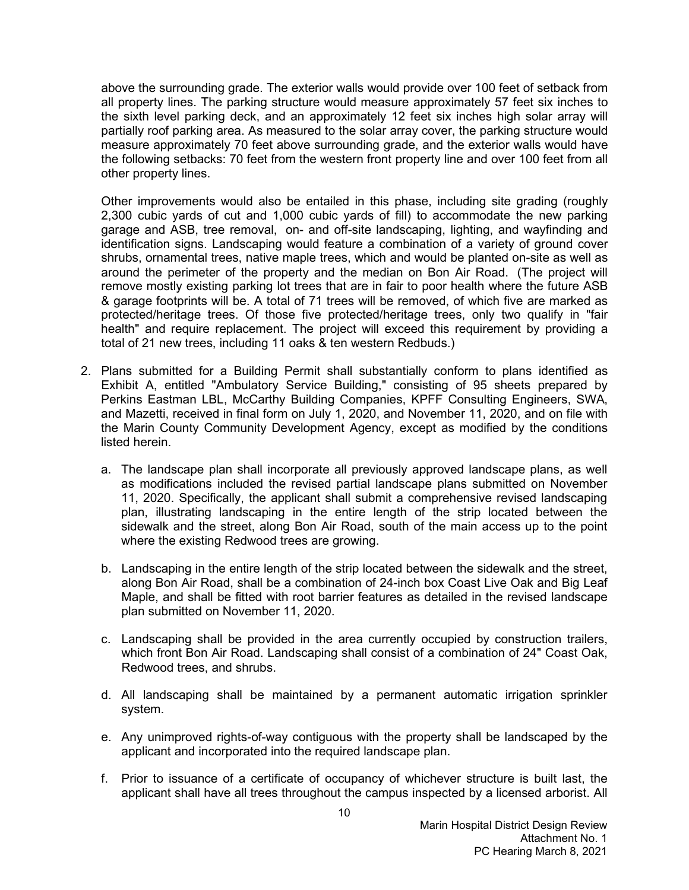above the surrounding grade. The exterior walls would provide over 100 feet of setback from all property lines. The parking structure would measure approximately 57 feet six inches to the sixth level parking deck, and an approximately 12 feet six inches high solar array will partially roof parking area. As measured to the solar array cover, the parking structure would measure approximately 70 feet above surrounding grade, and the exterior walls would have the following setbacks: 70 feet from the western front property line and over 100 feet from all other property lines.

Other improvements would also be entailed in this phase, including site grading (roughly 2,300 cubic yards of cut and 1,000 cubic yards of fill) to accommodate the new parking garage and ASB, tree removal, on- and off-site landscaping, lighting, and wayfinding and identification signs. Landscaping would feature a combination of a variety of ground cover shrubs, ornamental trees, native maple trees, which and would be planted on-site as well as around the perimeter of the property and the median on Bon Air Road. (The project will remove mostly existing parking lot trees that are in fair to poor health where the future ASB & garage footprints will be. A total of 71 trees will be removed, of which five are marked as protected/heritage trees. Of those five protected/heritage trees, only two qualify in "fair health" and require replacement. The project will exceed this requirement by providing a total of 21 new trees, including 11 oaks & ten western Redbuds.)

- 2. Plans submitted for a Building Permit shall substantially conform to plans identified as Exhibit A, entitled "Ambulatory Service Building," consisting of 95 sheets prepared by Perkins Eastman LBL, McCarthy Building Companies, KPFF Consulting Engineers, SWA, and Mazetti, received in final form on July 1, 2020, and November 11, 2020, and on file with the Marin County Community Development Agency, except as modified by the conditions listed herein.
	- a. The landscape plan shall incorporate all previously approved landscape plans, as well as modifications included the revised partial landscape plans submitted on November 11, 2020. Specifically, the applicant shall submit a comprehensive revised landscaping plan, illustrating landscaping in the entire length of the strip located between the sidewalk and the street, along Bon Air Road, south of the main access up to the point where the existing Redwood trees are growing.
	- b. Landscaping in the entire length of the strip located between the sidewalk and the street, along Bon Air Road, shall be a combination of 24-inch box Coast Live Oak and Big Leaf Maple, and shall be fitted with root barrier features as detailed in the revised landscape plan submitted on November 11, 2020.
	- c. Landscaping shall be provided in the area currently occupied by construction trailers, which front Bon Air Road. Landscaping shall consist of a combination of 24" Coast Oak, Redwood trees, and shrubs.
	- d. All landscaping shall be maintained by a permanent automatic irrigation sprinkler system.
	- e. Any unimproved rights-of-way contiguous with the property shall be landscaped by the applicant and incorporated into the required landscape plan.
	- f. Prior to issuance of a certificate of occupancy of whichever structure is built last, the applicant shall have all trees throughout the campus inspected by a licensed arborist. All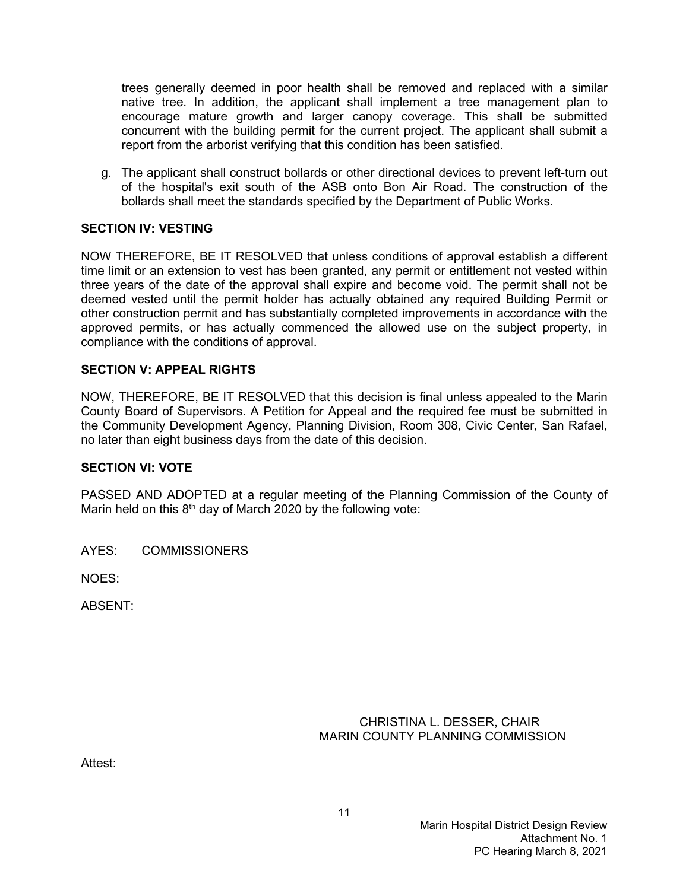trees generally deemed in poor health shall be removed and replaced with a similar native tree. In addition, the applicant shall implement a tree management plan to encourage mature growth and larger canopy coverage. This shall be submitted concurrent with the building permit for the current project. The applicant shall submit a report from the arborist verifying that this condition has been satisfied.

g. The applicant shall construct bollards or other directional devices to prevent left-turn out of the hospital's exit south of the ASB onto Bon Air Road. The construction of the bollards shall meet the standards specified by the Department of Public Works.

# **SECTION IV: VESTING**

NOW THEREFORE, BE IT RESOLVED that unless conditions of approval establish a different time limit or an extension to vest has been granted, any permit or entitlement not vested within three years of the date of the approval shall expire and become void. The permit shall not be deemed vested until the permit holder has actually obtained any required Building Permit or other construction permit and has substantially completed improvements in accordance with the approved permits, or has actually commenced the allowed use on the subject property, in compliance with the conditions of approval.

### **SECTION V: APPEAL RIGHTS**

NOW, THEREFORE, BE IT RESOLVED that this decision is final unless appealed to the Marin County Board of Supervisors. A Petition for Appeal and the required fee must be submitted in the Community Development Agency, Planning Division, Room 308, Civic Center, San Rafael, no later than eight business days from the date of this decision.

#### **SECTION VI: VOTE**

PASSED AND ADOPTED at a regular meeting of the Planning Commission of the County of Marin held on this  $8<sup>th</sup>$  day of March 2020 by the following vote:

AYES: COMMISSIONERS

NOES:

ABSENT:

| CHRISTINA L. DESSER, CHAIR       |
|----------------------------------|
| MARIN COUNTY PLANNING COMMISSION |

Attest: